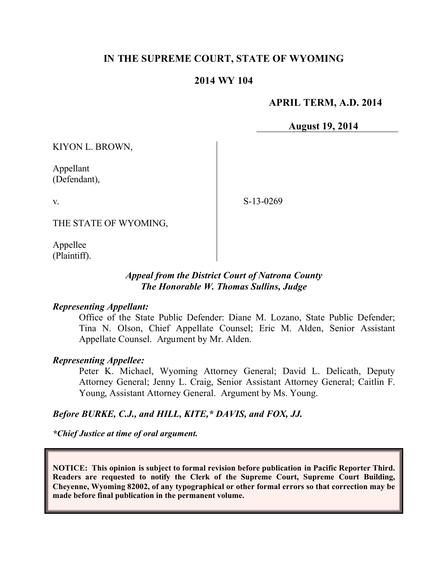# **IN THE SUPREME COURT, STATE OF WYOMING**

## **2014 WY 104**

## **APRIL TERM, A.D. 2014**

**August 19, 2014**

KIYON L. BROWN,

Appellant (Defendant),

v.

S-13-0269

THE STATE OF WYOMING,

Appellee (Plaintiff).

## *Appeal from the District Court of Natrona County The Honorable W. Thomas Sullins, Judge*

#### *Representing Appellant:*

Office of the State Public Defender: Diane M. Lozano, State Public Defender; Tina N. Olson, Chief Appellate Counsel; Eric M. Alden, Senior Assistant Appellate Counsel. Argument by Mr. Alden.

#### *Representing Appellee:*

Peter K. Michael, Wyoming Attorney General; David L. Delicath, Deputy Attorney General; Jenny L. Craig, Senior Assistant Attorney General; Caitlin F. Young, Assistant Attorney General. Argument by Ms. Young.

#### *Before BURKE, C.J., and HILL, KITE,\* DAVIS, and FOX, JJ.*

*\*Chief Justice at time of oral argument.*

**NOTICE: This opinion is subject to formal revision before publication in Pacific Reporter Third. Readers are requested to notify the Clerk of the Supreme Court, Supreme Court Building, Cheyenne, Wyoming 82002, of any typographical or other formal errors so that correction may be made before final publication in the permanent volume.**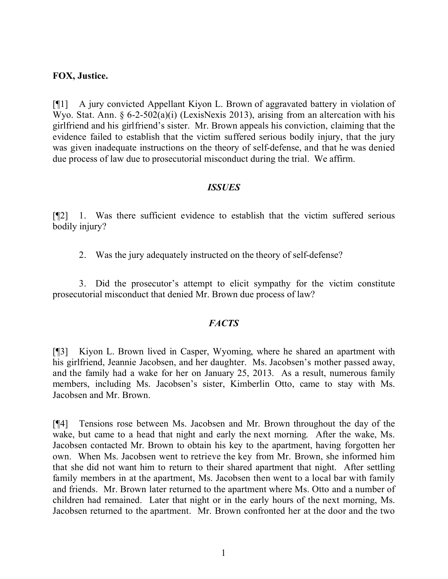## **FOX, Justice.**

[¶1] A jury convicted Appellant Kiyon L. Brown of aggravated battery in violation of Wyo. Stat. Ann. § 6-2-502(a)(i) (LexisNexis 2013), arising from an altercation with his girlfriend and his girlfriend's sister. Mr. Brown appeals his conviction, claiming that the evidence failed to establish that the victim suffered serious bodily injury, that the jury was given inadequate instructions on the theory of self-defense, and that he was denied due process of law due to prosecutorial misconduct during the trial. We affirm.

#### *ISSUES*

[¶2] 1. Was there sufficient evidence to establish that the victim suffered serious bodily injury?

2. Was the jury adequately instructed on the theory of self-defense?

3. Did the prosecutor's attempt to elicit sympathy for the victim constitute prosecutorial misconduct that denied Mr. Brown due process of law?

# *FACTS*

[¶3] Kiyon L. Brown lived in Casper, Wyoming, where he shared an apartment with his girlfriend, Jeannie Jacobsen, and her daughter. Ms. Jacobsen's mother passed away, and the family had a wake for her on January 25, 2013. As a result, numerous family members, including Ms. Jacobsen's sister, Kimberlin Otto, came to stay with Ms. Jacobsen and Mr. Brown.

[¶4] Tensions rose between Ms. Jacobsen and Mr. Brown throughout the day of the wake, but came to a head that night and early the next morning. After the wake, Ms. Jacobsen contacted Mr. Brown to obtain his key to the apartment, having forgotten her own. When Ms. Jacobsen went to retrieve the key from Mr. Brown, she informed him that she did not want him to return to their shared apartment that night. After settling family members in at the apartment, Ms. Jacobsen then went to a local bar with family and friends. Mr. Brown later returned to the apartment where Ms. Otto and a number of children had remained. Later that night or in the early hours of the next morning, Ms. Jacobsen returned to the apartment. Mr. Brown confronted her at the door and the two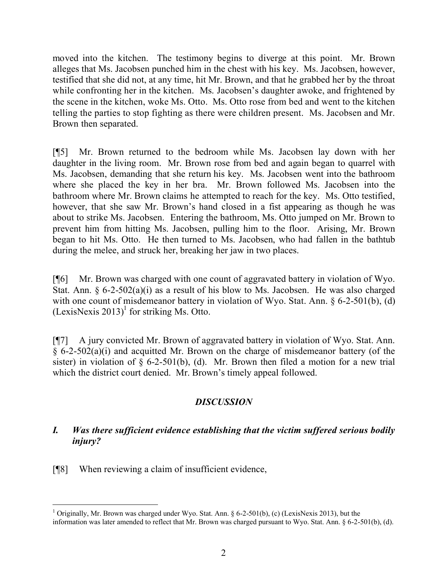moved into the kitchen. The testimony begins to diverge at this point. Mr. Brown alleges that Ms. Jacobsen punched him in the chest with his key. Ms. Jacobsen, however, testified that she did not, at any time, hit Mr. Brown, and that he grabbed her by the throat while confronting her in the kitchen. Ms. Jacobsen's daughter awoke, and frightened by the scene in the kitchen, woke Ms. Otto. Ms. Otto rose from bed and went to the kitchen telling the parties to stop fighting as there were children present. Ms. Jacobsen and Mr. Brown then separated.

[¶5] Mr. Brown returned to the bedroom while Ms. Jacobsen lay down with her daughter in the living room. Mr. Brown rose from bed and again began to quarrel with Ms. Jacobsen, demanding that she return his key. Ms. Jacobsen went into the bathroom where she placed the key in her bra. Mr. Brown followed Ms. Jacobsen into the bathroom where Mr. Brown claims he attempted to reach for the key. Ms. Otto testified, however, that she saw Mr. Brown's hand closed in a fist appearing as though he was about to strike Ms. Jacobsen. Entering the bathroom, Ms. Otto jumped on Mr. Brown to prevent him from hitting Ms. Jacobsen, pulling him to the floor. Arising, Mr. Brown began to hit Ms. Otto. He then turned to Ms. Jacobsen, who had fallen in the bathtub during the melee, and struck her, breaking her jaw in two places.

[¶6] Mr. Brown was charged with one count of aggravated battery in violation of Wyo. Stat. Ann.  $\delta$  6-2-502(a)(i) as a result of his blow to Ms. Jacobsen. He was also charged with one count of misdemeanor battery in violation of Wyo. Stat. Ann. § 6-2-501(b), (d)  $(Lexi sNexi s 2013)^1$  for striking Ms. Otto.

[¶7] A jury convicted Mr. Brown of aggravated battery in violation of Wyo. Stat. Ann. § 6-2-502(a)(i) and acquitted Mr. Brown on the charge of misdemeanor battery (of the sister) in violation of  $\S$  6-2-501(b), (d). Mr. Brown then filed a motion for a new trial which the district court denied. Mr. Brown's timely appeal followed.

# *DISCUSSION*

# *I. Was there sufficient evidence establishing that the victim suffered serious bodily injury?*

[¶8] When reviewing a claim of insufficient evidence,

 <sup>1</sup> Originally, Mr. Brown was charged under Wyo. Stat. Ann. § 6-2-501(b), (c) (LexisNexis 2013), but the information was later amended to reflect that Mr. Brown was charged pursuant to Wyo. Stat. Ann. § 6-2-501(b), (d).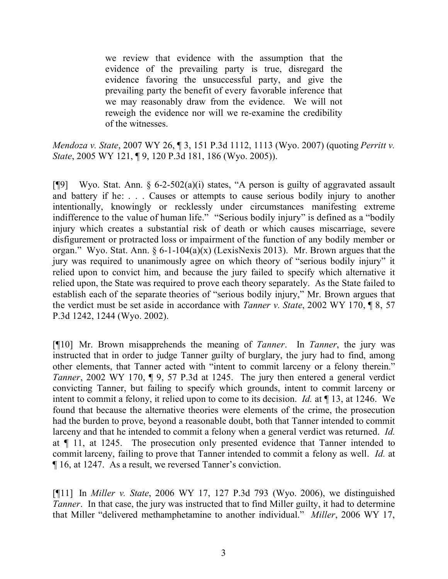we review that evidence with the assumption that the evidence of the prevailing party is true, disregard the evidence favoring the unsuccessful party, and give the prevailing party the benefit of every favorable inference that we may reasonably draw from the evidence. We will not reweigh the evidence nor will we re-examine the credibility of the witnesses.

*Mendoza v. State*, 2007 WY 26, ¶ 3, 151 P.3d 1112, 1113 (Wyo. 2007) (quoting *Perritt v. State*, 2005 WY 121, ¶ 9, 120 P.3d 181, 186 (Wyo. 2005)).

[ $[$ [9] Wyo. Stat. Ann. § 6-2-502(a)(i) states, "A person is guilty of aggravated assault and battery if he: . . . Causes or attempts to cause serious bodily injury to another intentionally, knowingly or recklessly under circumstances manifesting extreme indifference to the value of human life." "Serious bodily injury" is defined as a "bodily injury which creates a substantial risk of death or which causes miscarriage, severe disfigurement or protracted loss or impairment of the function of any bodily member or organ." Wyo. Stat. Ann. § 6-1-104(a)(x) (LexisNexis 2013). Mr. Brown argues that the jury was required to unanimously agree on which theory of "serious bodily injury" it relied upon to convict him, and because the jury failed to specify which alternative it relied upon, the State was required to prove each theory separately. As the State failed to establish each of the separate theories of "serious bodily injury," Mr. Brown argues that the verdict must be set aside in accordance with *Tanner v. State*, 2002 WY 170, ¶ 8, 57 P.3d 1242, 1244 (Wyo. 2002).

[¶10] Mr. Brown misapprehends the meaning of *Tanner*. In *Tanner*, the jury was instructed that in order to judge Tanner guilty of burglary, the jury had to find, among other elements, that Tanner acted with "intent to commit larceny or a felony therein." *Tanner*, 2002 WY 170, ¶ 9, 57 P.3d at 1245. The jury then entered a general verdict convicting Tanner, but failing to specify which grounds, intent to commit larceny or intent to commit a felony, it relied upon to come to its decision. *Id.* at 13, at 1246. We found that because the alternative theories were elements of the crime, the prosecution had the burden to prove, beyond a reasonable doubt, both that Tanner intended to commit larceny and that he intended to commit a felony when a general verdict was returned. *Id.* at ¶ 11, at 1245. The prosecution only presented evidence that Tanner intended to commit larceny, failing to prove that Tanner intended to commit a felony as well. *Id.* at ¶ 16, at 1247. As a result, we reversed Tanner's conviction.

[¶11] In *Miller v. State*, 2006 WY 17, 127 P.3d 793 (Wyo. 2006), we distinguished *Tanner*. In that case, the jury was instructed that to find Miller guilty, it had to determine that Miller "delivered methamphetamine to another individual." *Miller*, 2006 WY 17,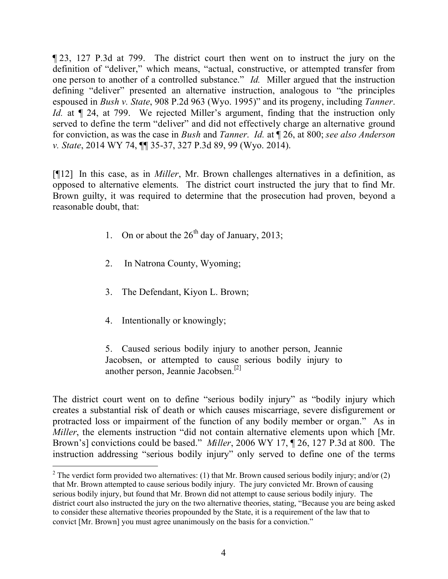¶ 23, 127 P.3d at 799. The district court then went on to instruct the jury on the definition of "deliver," which means, "actual, constructive, or attempted transfer from one person to another of a controlled substance." *Id.* Miller argued that the instruction defining "deliver" presented an alternative instruction, analogous to "the principles espoused in *Bush v. State*, 908 P.2d 963 (Wyo. 1995)" and its progeny, including *Tanner*. *Id.* at  $\sqrt{24}$ , at 799. We rejected Miller's argument, finding that the instruction only served to define the term "deliver" and did not effectively charge an alternative ground for conviction, as was the case in *Bush* and *Tanner*. *Id.* at ¶ 26, at 800; *see also Anderson v. State*, 2014 WY 74, ¶¶ 35-37, 327 P.3d 89, 99 (Wyo. 2014).

[¶12] In this case, as in *Miller*, Mr. Brown challenges alternatives in a definition, as opposed to alternative elements. The district court instructed the jury that to find Mr. Brown guilty, it was required to determine that the prosecution had proven, beyond a reasonable doubt, that:

- 1. On or about the  $26<sup>th</sup>$  day of January, 2013;
- 2. In Natrona County, Wyoming;
- 3. The Defendant, Kiyon L. Brown;
- 4. Intentionally or knowingly;

5. Caused serious bodily injury to another person, Jeannie Jacobsen, or attempted to cause serious bodily injury to another person, Jeannie Jacobsen.[2]

The district court went on to define "serious bodily injury" as "bodily injury which creates a substantial risk of death or which causes miscarriage, severe disfigurement or protracted loss or impairment of the function of any bodily member or organ." As in *Miller*, the elements instruction "did not contain alternative elements upon which [Mr. Brown's] convictions could be based." *Miller*, 2006 WY 17, ¶ 26, 127 P.3d at 800. The instruction addressing "serious bodily injury" only served to define one of the terms

<sup>&</sup>lt;sup>2</sup> The verdict form provided two alternatives: (1) that Mr. Brown caused serious bodily injury; and/or (2) that Mr. Brown attempted to cause serious bodily injury. The jury convicted Mr. Brown of causing serious bodily injury, but found that Mr. Brown did not attempt to cause serious bodily injury. The district court also instructed the jury on the two alternative theories, stating, "Because you are being asked to consider these alternative theories propounded by the State, it is a requirement of the law that to convict [Mr. Brown] you must agree unanimously on the basis for a conviction."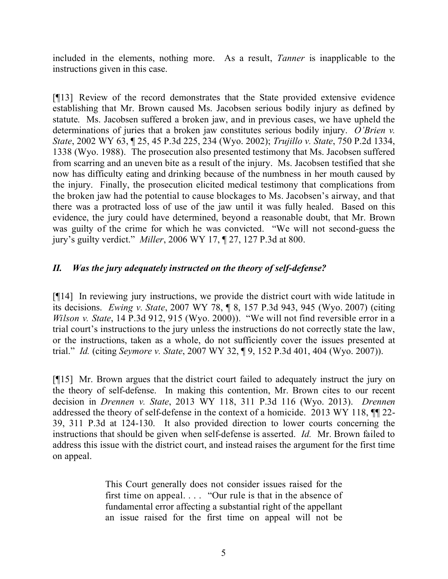included in the elements, nothing more. As a result, *Tanner* is inapplicable to the instructions given in this case.

[¶13] Review of the record demonstrates that the State provided extensive evidence establishing that Mr. Brown caused Ms. Jacobsen serious bodily injury as defined by statute. Ms. Jacobsen suffered a broken jaw, and in previous cases, we have upheld the determinations of juries that a broken jaw constitutes serious bodily injury. *O'Brien v. State*, 2002 WY 63, ¶ 25, 45 P.3d 225, 234 (Wyo. 2002); *Trujillo v. State*, 750 P.2d 1334, 1338 (Wyo. 1988). The prosecution also presented testimony that Ms. Jacobsen suffered from scarring and an uneven bite as a result of the injury. Ms. Jacobsen testified that she now has difficulty eating and drinking because of the numbness in her mouth caused by the injury. Finally, the prosecution elicited medical testimony that complications from the broken jaw had the potential to cause blockages to Ms. Jacobsen's airway, and that there was a protracted loss of use of the jaw until it was fully healed. Based on this evidence, the jury could have determined, beyond a reasonable doubt, that Mr. Brown was guilty of the crime for which he was convicted. "We will not second-guess the jury's guilty verdict." *Miller*, 2006 WY 17, ¶ 27, 127 P.3d at 800.

# *II. Was the jury adequately instructed on the theory of self-defense?*

[¶14] In reviewing jury instructions, we provide the district court with wide latitude in its decisions. *Ewing v. State*, 2007 WY 78, ¶ 8, 157 P.3d 943, 945 (Wyo. 2007) (citing *Wilson v. State*, 14 P.3d 912, 915 (Wyo. 2000)). "We will not find reversible error in a trial court's instructions to the jury unless the instructions do not correctly state the law, or the instructions, taken as a whole, do not sufficiently cover the issues presented at trial." *Id.* (citing *Seymore v. State*, 2007 WY 32, ¶ 9, 152 P.3d 401, 404 (Wyo. 2007)).

[¶15] Mr. Brown argues that the district court failed to adequately instruct the jury on the theory of self-defense. In making this contention, Mr. Brown cites to our recent decision in *Drennen v. State*, 2013 WY 118, 311 P.3d 116 (Wyo. 2013). *Drennen* addressed the theory of self-defense in the context of a homicide. 2013 WY 118, ¶¶ 22- 39, 311 P.3d at 124-130. It also provided direction to lower courts concerning the instructions that should be given when self-defense is asserted. *Id.* Mr. Brown failed to address this issue with the district court, and instead raises the argument for the first time on appeal.

> This Court generally does not consider issues raised for the first time on appeal. . . . "Our rule is that in the absence of fundamental error affecting a substantial right of the appellant an issue raised for the first time on appeal will not be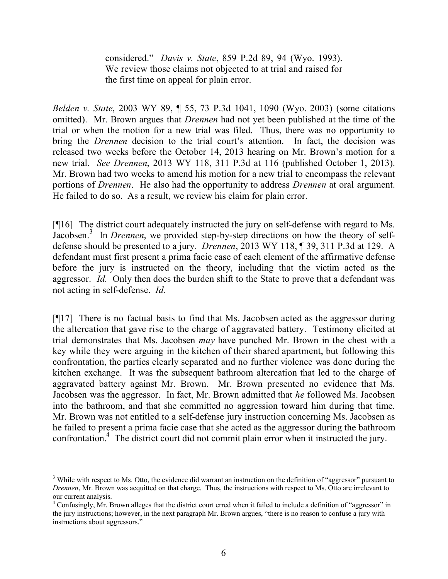considered." *Davis v. State*, 859 P.2d 89, 94 (Wyo. 1993). We review those claims not objected to at trial and raised for the first time on appeal for plain error.

*Belden v. State*, 2003 WY 89, ¶ 55, 73 P.3d 1041, 1090 (Wyo. 2003) (some citations omitted). Mr. Brown argues that *Drennen* had not yet been published at the time of the trial or when the motion for a new trial was filed. Thus, there was no opportunity to bring the *Drennen* decision to the trial court's attention. In fact, the decision was released two weeks before the October 14, 2013 hearing on Mr. Brown's motion for a new trial. *See Drennen*, 2013 WY 118, 311 P.3d at 116 (published October 1, 2013). Mr. Brown had two weeks to amend his motion for a new trial to encompass the relevant portions of *Drennen*. He also had the opportunity to address *Drennen* at oral argument. He failed to do so. As a result, we review his claim for plain error.

[¶16] The district court adequately instructed the jury on self-defense with regard to Ms. Jacobsen.<sup>3</sup> In *Drennen*, we provided step-by-step directions on how the theory of selfdefense should be presented to a jury. *Drennen*, 2013 WY 118, ¶ 39, 311 P.3d at 129. A defendant must first present a prima facie case of each element of the affirmative defense before the jury is instructed on the theory, including that the victim acted as the aggressor. *Id.* Only then does the burden shift to the State to prove that a defendant was not acting in self-defense. *Id.*

[¶17] There is no factual basis to find that Ms. Jacobsen acted as the aggressor during the altercation that gave rise to the charge of aggravated battery. Testimony elicited at trial demonstrates that Ms. Jacobsen *may* have punched Mr. Brown in the chest with a key while they were arguing in the kitchen of their shared apartment, but following this confrontation, the parties clearly separated and no further violence was done during the kitchen exchange. It was the subsequent bathroom altercation that led to the charge of aggravated battery against Mr. Brown. Mr. Brown presented no evidence that Ms. Jacobsen was the aggressor. In fact, Mr. Brown admitted that *he* followed Ms. Jacobsen into the bathroom, and that she committed no aggression toward him during that time. Mr. Brown was not entitled to a self-defense jury instruction concerning Ms. Jacobsen as he failed to present a prima facie case that she acted as the aggressor during the bathroom confrontation.<sup>4</sup> The district court did not commit plain error when it instructed the jury.

<sup>&</sup>lt;sup>3</sup> While with respect to Ms. Otto, the evidence did warrant an instruction on the definition of "aggressor" pursuant to *Drennen*, Mr. Brown was acquitted on that charge. Thus, the instructions with respect to Ms. Otto are irrelevant to our current analysis.

<sup>4</sup> Confusingly, Mr. Brown alleges that the district court erred when it failed to include a definition of "aggressor" in the jury instructions; however, in the next paragraph Mr. Brown argues, "there is no reason to confuse a jury with instructions about aggressors."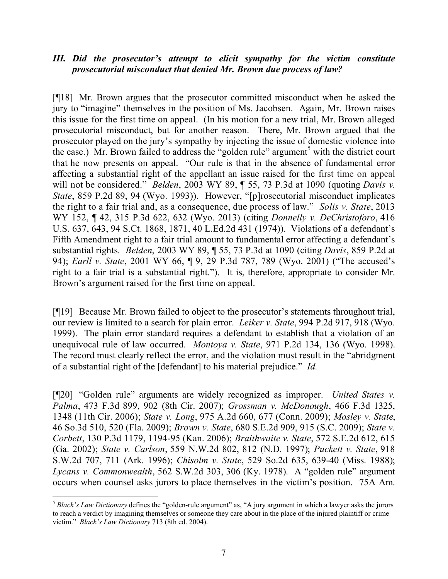# *III. Did the prosecutor's attempt to elicit sympathy for the victim constitute prosecutorial misconduct that denied Mr. Brown due process of law?*

[¶18] Mr. Brown argues that the prosecutor committed misconduct when he asked the jury to "imagine" themselves in the position of Ms. Jacobsen. Again, Mr. Brown raises this issue for the first time on appeal. (In his motion for a new trial, Mr. Brown alleged prosecutorial misconduct, but for another reason. There, Mr. Brown argued that the prosecutor played on the jury's sympathy by injecting the issue of domestic violence into the case.) Mr. Brown failed to address the "golden rule" argument<sup>5</sup> with the district court that he now presents on appeal. "Our rule is that in the absence of fundamental error affecting a substantial right of the appellant an issue raised for the first time on appeal will not be considered." *Belden*, 2003 WY 89, ¶ 55, 73 P.3d at 1090 (quoting *Davis v. State*, 859 P.2d 89, 94 (Wyo. 1993)). However, "[p]rosecutorial misconduct implicates the right to a fair trial and, as a consequence, due process of law." *Solis v. State*, 2013 WY 152, ¶ 42, 315 P.3d 622, 632 (Wyo. 2013) (citing *Donnelly v. DeChristoforo*, 416 U.S. 637, 643, 94 S.Ct. 1868, 1871, 40 L.Ed.2d 431 (1974)). Violations of a defendant's Fifth Amendment right to a fair trial amount to fundamental error affecting a defendant's substantial rights. *Belden*, 2003 WY 89, ¶ 55, 73 P.3d at 1090 (citing *Davis*, 859 P.2d at 94); *Earll v. State*, 2001 WY 66, ¶ 9, 29 P.3d 787, 789 (Wyo. 2001) ("The accused's right to a fair trial is a substantial right."). It is, therefore, appropriate to consider Mr. Brown's argument raised for the first time on appeal.

[¶19] Because Mr. Brown failed to object to the prosecutor's statements throughout trial, our review is limited to a search for plain error. *Leiker v. State*, 994 P.2d 917, 918 (Wyo. 1999). The plain error standard requires a defendant to establish that a violation of an unequivocal rule of law occurred. *Montoya v. State*, 971 P.2d 134, 136 (Wyo. 1998). The record must clearly reflect the error, and the violation must result in the "abridgment of a substantial right of the [defendant] to his material prejudice." *Id.*

[¶20] "Golden rule" arguments are widely recognized as improper. *United States v. Palma*, 473 F.3d 899, 902 (8th Cir. 2007); *Grossman v. McDonough*, 466 F.3d 1325, 1348 (11th Cir. 2006); *State v. Long*, 975 A.2d 660, 677 (Conn. 2009); *Mosley v. State*, 46 So.3d 510, 520 (Fla. 2009); *Brown v. State*, 680 S.E.2d 909, 915 (S.C. 2009); *State v. Corbett*, 130 P.3d 1179, 1194-95 (Kan. 2006); *Braithwaite v. State*, 572 S.E.2d 612, 615 (Ga. 2002); *State v. Carlson*, 559 N.W.2d 802, 812 (N.D. 1997); *Puckett v. State*, 918 S.W.2d 707, 711 (Ark. 1996); *Chisolm v. State*, 529 So.2d 635, 639-40 (Miss. 1988); *Lycans v. Commonwealth*, 562 S.W.2d 303, 306 (Ky. 1978). A "golden rule" argument occurs when counsel asks jurors to place themselves in the victim's position. 75A Am.

 $\overline{a}$ <sup>5</sup> *Black's Law Dictionary* defines the "golden-rule argument" as, "A jury argument in which a lawyer asks the jurors to reach a verdict by imagining themselves or someone they care about in the place of the injured plaintiff or crime victim." *Black's Law Dictionary* 713 (8th ed. 2004).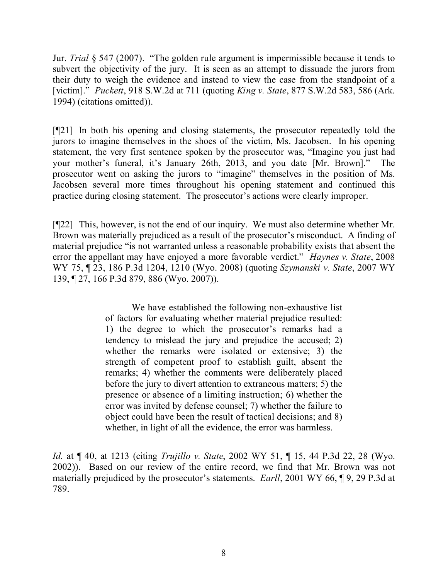Jur. *Trial* § 547 (2007). "The golden rule argument is impermissible because it tends to subvert the objectivity of the jury. It is seen as an attempt to dissuade the jurors from their duty to weigh the evidence and instead to view the case from the standpoint of a [victim]." *Puckett*, 918 S.W.2d at 711 (quoting *King v. State*, 877 S.W.2d 583, 586 (Ark. 1994) (citations omitted)).

[¶21] In both his opening and closing statements, the prosecutor repeatedly told the jurors to imagine themselves in the shoes of the victim, Ms. Jacobsen. In his opening statement, the very first sentence spoken by the prosecutor was, "Imagine you just had your mother's funeral, it's January 26th, 2013, and you date [Mr. Brown]." The prosecutor went on asking the jurors to "imagine" themselves in the position of Ms. Jacobsen several more times throughout his opening statement and continued this practice during closing statement. The prosecutor's actions were clearly improper.

[¶22] This, however, is not the end of our inquiry. We must also determine whether Mr. Brown was materially prejudiced as a result of the prosecutor's misconduct. A finding of material prejudice "is not warranted unless a reasonable probability exists that absent the error the appellant may have enjoyed a more favorable verdict." *Haynes v. State*, 2008 WY 75, ¶ 23, 186 P.3d 1204, 1210 (Wyo. 2008) (quoting *Szymanski v. State*, 2007 WY 139, ¶ 27, 166 P.3d 879, 886 (Wyo. 2007)).

> We have established the following non-exhaustive list of factors for evaluating whether material prejudice resulted: 1) the degree to which the prosecutor's remarks had a tendency to mislead the jury and prejudice the accused; 2) whether the remarks were isolated or extensive; 3) the strength of competent proof to establish guilt, absent the remarks; 4) whether the comments were deliberately placed before the jury to divert attention to extraneous matters; 5) the presence or absence of a limiting instruction; 6) whether the error was invited by defense counsel; 7) whether the failure to object could have been the result of tactical decisions; and 8) whether, in light of all the evidence, the error was harmless.

*Id.* at ¶ 40, at 1213 (citing *Trujillo v. State*, 2002 WY 51, ¶ 15, 44 P.3d 22, 28 (Wyo. 2002)). Based on our review of the entire record, we find that Mr. Brown was not materially prejudiced by the prosecutor's statements. *Earll*, 2001 WY 66, ¶ 9, 29 P.3d at 789.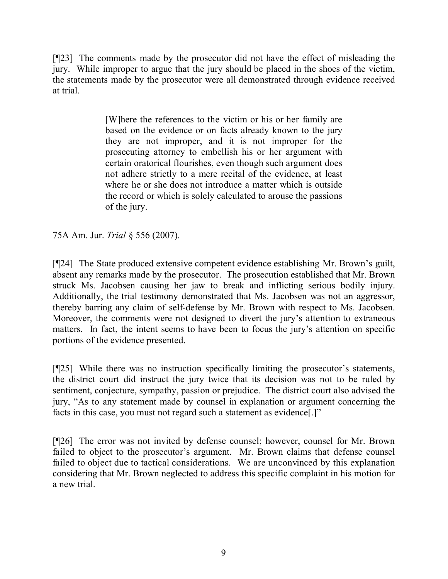[¶23] The comments made by the prosecutor did not have the effect of misleading the jury. While improper to argue that the jury should be placed in the shoes of the victim, the statements made by the prosecutor were all demonstrated through evidence received at trial.

> [W]here the references to the victim or his or her family are based on the evidence or on facts already known to the jury they are not improper, and it is not improper for the prosecuting attorney to embellish his or her argument with certain oratorical flourishes, even though such argument does not adhere strictly to a mere recital of the evidence, at least where he or she does not introduce a matter which is outside the record or which is solely calculated to arouse the passions of the jury.

75A Am. Jur. *Trial* § 556 (2007).

[¶24] The State produced extensive competent evidence establishing Mr. Brown's guilt, absent any remarks made by the prosecutor. The prosecution established that Mr. Brown struck Ms. Jacobsen causing her jaw to break and inflicting serious bodily injury. Additionally, the trial testimony demonstrated that Ms. Jacobsen was not an aggressor, thereby barring any claim of self-defense by Mr. Brown with respect to Ms. Jacobsen. Moreover, the comments were not designed to divert the jury's attention to extraneous matters. In fact, the intent seems to have been to focus the jury's attention on specific portions of the evidence presented.

[¶25] While there was no instruction specifically limiting the prosecutor's statements, the district court did instruct the jury twice that its decision was not to be ruled by sentiment, conjecture, sympathy, passion or prejudice. The district court also advised the jury, "As to any statement made by counsel in explanation or argument concerning the facts in this case, you must not regard such a statement as evidence[.]"

[¶26] The error was not invited by defense counsel; however, counsel for Mr. Brown failed to object to the prosecutor's argument. Mr. Brown claims that defense counsel failed to object due to tactical considerations. We are unconvinced by this explanation considering that Mr. Brown neglected to address this specific complaint in his motion for a new trial.